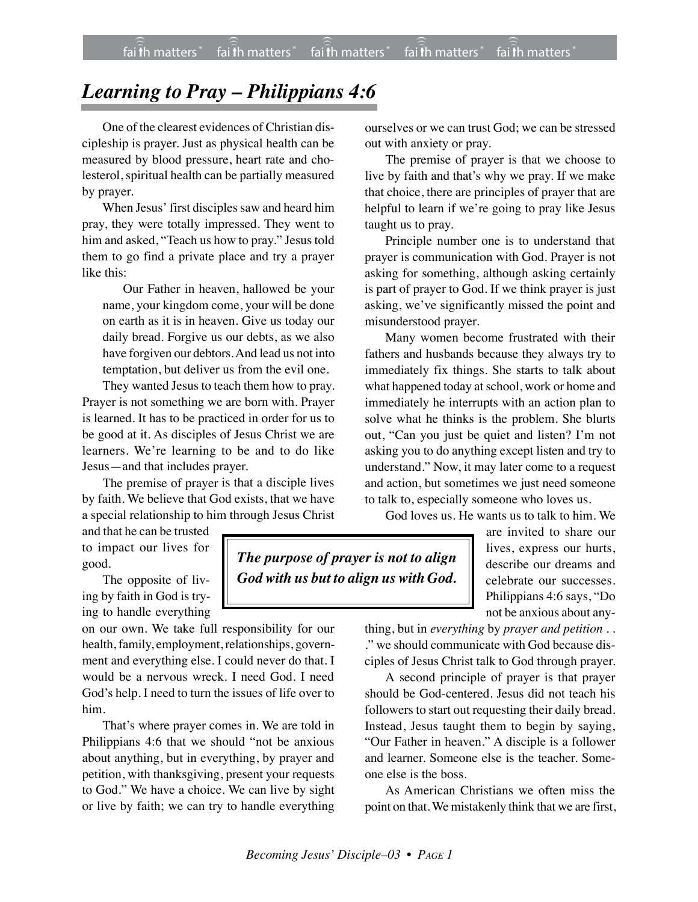## *Learning to Pray – Philippians 4:6*

One of the clearest evidences of Christian discipleship is prayer. Just as physical health can be measured by blood pressure, heart rate and cholesterol, spiritual health can be partially measured by prayer.

When Jesus' first disciples saw and heard him pray, they were totally impressed. They went to him and asked, "Teach us how to pray." Jesus told them to go find a private place and try a prayer like this:

Our Father in heaven, hallowed be your name, your kingdom come, your will be done on earth as it is in heaven. Give us today our daily bread. Forgive us our debts, as we also have forgiven our debtors.And lead us not into temptation, but deliver us from the evil one.

They wanted Jesus to teach them how to pray. Prayer is not something we are born with. Prayer is learned. It has to be practiced in order for us to be good at it. As disciples of Jesus Christ we are learners. We're learning to be and to do like Jesus—and that includes prayer.

The premise of prayer is that a disciple lives by faith. We believe that God exists, that we have a special relationship to him through Jesus Christ

and that he can be trusted to impact our lives for good.

The opposite of living by faith in God is trying to handle everything

on our own. We take full responsibility for our health, family, employment, relationships, government and everything else. I could never do that. I would be a nervous wreck. I need God. I need God's help. I need to turn the issues of life over to him.

That's where prayer comes in. We are told in Philippians 4:6 that we should "not be anxious about anything, but in everything, by prayer and petition, with thanksgiving, present your requests to God." We have a choice. We can live by sight or live by faith; we can try to handle everything ourselves or we can trust God; we can be stressed out with anxiety or pray.

The premise of prayer is that we choose to live by faith and that's why we pray. If we make that choice, there are principles of prayer that are helpful to learn if we're going to pray like Jesus taught us to pray.

Principle number one is to understand that prayer is communication with God. Prayer is not asking for something, although asking certainly is part of prayer to God. If we think prayer is just asking, we've significantly missed the point and misunderstood prayer.

Many women become frustrated with their fathers and husbands because they always try to immediately fix things. She starts to talk about what happened today at school, work or home and immediately he interrupts with an action plan to solve what he thinks is the problem. She blurts out, "Can you just be quiet and listen? I'm not asking you to do anything except listen and try to understand." Now, it may later come to a request and action, but sometimes we just need someone to talk to, especially someone who loves us.

God loves us. He wants us to talk to him. We

*The purpose of prayer is not to align God with us but to align us with God.* are invited to share our lives, express our hurts, describe our dreams and celebrate our successes. Philippians 4:6 says, "Do not be anxious about any-

thing, but in *everything* by *prayer and petition* . . ." we should communicate with God because disciples of Jesus Christ talk to God through prayer.

A second principle of prayer is that prayer should be God-centered. Jesus did not teach his followers to start out requesting their daily bread. Instead, Jesus taught them to begin by saying, "Our Father in heaven." A disciple is a follower and learner. Someone else is the teacher. Someone else is the boss.

As American Christians we often miss the point on that. We mistakenly think that we are first,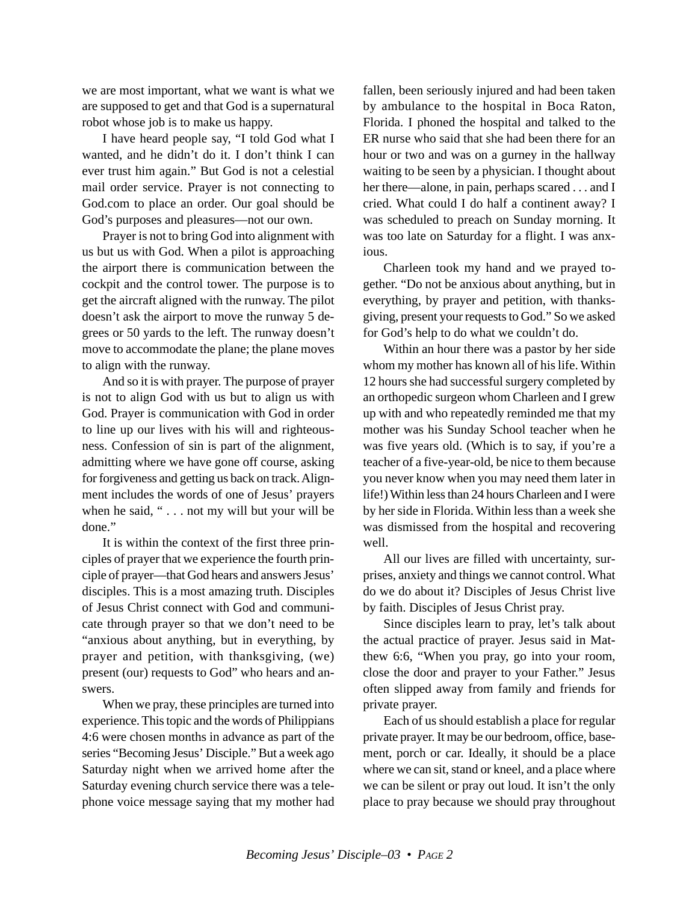we are most important, what we want is what we are supposed to get and that God is a supernatural robot whose job is to make us happy.

I have heard people say, "I told God what I wanted, and he didn't do it. I don't think I can ever trust him again." But God is not a celestial mail order service. Prayer is not connecting to God.com to place an order. Our goal should be God's purposes and pleasures—not our own.

Prayer is not to bring God into alignment with us but us with God. When a pilot is approaching the airport there is communication between the cockpit and the control tower. The purpose is to get the aircraft aligned with the runway. The pilot doesn't ask the airport to move the runway 5 degrees or 50 yards to the left. The runway doesn't move to accommodate the plane; the plane moves to align with the runway.

And so it is with prayer. The purpose of prayer is not to align God with us but to align us with God. Prayer is communication with God in order to line up our lives with his will and righteousness. Confession of sin is part of the alignment, admitting where we have gone off course, asking for forgiveness and getting us back on track. Alignment includes the words of one of Jesus' prayers when he said, " . . . not my will but your will be done."

It is within the context of the first three principles of prayer that we experience the fourth principle of prayer—that God hears and answers Jesus' disciples. This is a most amazing truth. Disciples of Jesus Christ connect with God and communicate through prayer so that we don't need to be "anxious about anything, but in everything, by prayer and petition, with thanksgiving, (we) present (our) requests to God" who hears and answers.

When we pray, these principles are turned into experience. This topic and the words of Philippians 4:6 were chosen months in advance as part of the series "Becoming Jesus' Disciple." But a week ago Saturday night when we arrived home after the Saturday evening church service there was a telephone voice message saying that my mother had fallen, been seriously injured and had been taken by ambulance to the hospital in Boca Raton, Florida. I phoned the hospital and talked to the ER nurse who said that she had been there for an hour or two and was on a gurney in the hallway waiting to be seen by a physician. I thought about her there—alone, in pain, perhaps scared . . . and I cried. What could I do half a continent away? I was scheduled to preach on Sunday morning. It was too late on Saturday for a flight. I was anxious.

Charleen took my hand and we prayed together. "Do not be anxious about anything, but in everything, by prayer and petition, with thanksgiving, present your requests to God." So we asked for God's help to do what we couldn't do.

Within an hour there was a pastor by her side whom my mother has known all of his life. Within 12 hours she had successful surgery completed by an orthopedic surgeon whom Charleen and I grew up with and who repeatedly reminded me that my mother was his Sunday School teacher when he was five years old. (Which is to say, if you're a teacher of a five-year-old, be nice to them because you never know when you may need them later in life!) Within less than 24 hours Charleen and I were by her side in Florida. Within less than a week she was dismissed from the hospital and recovering well.

All our lives are filled with uncertainty, surprises, anxiety and things we cannot control. What do we do about it? Disciples of Jesus Christ live by faith. Disciples of Jesus Christ pray.

Since disciples learn to pray, let's talk about the actual practice of prayer. Jesus said in Matthew 6:6, "When you pray, go into your room, close the door and prayer to your Father." Jesus often slipped away from family and friends for private prayer.

Each of us should establish a place for regular private prayer. It may be our bedroom, office, basement, porch or car. Ideally, it should be a place where we can sit, stand or kneel, and a place where we can be silent or pray out loud. It isn't the only place to pray because we should pray throughout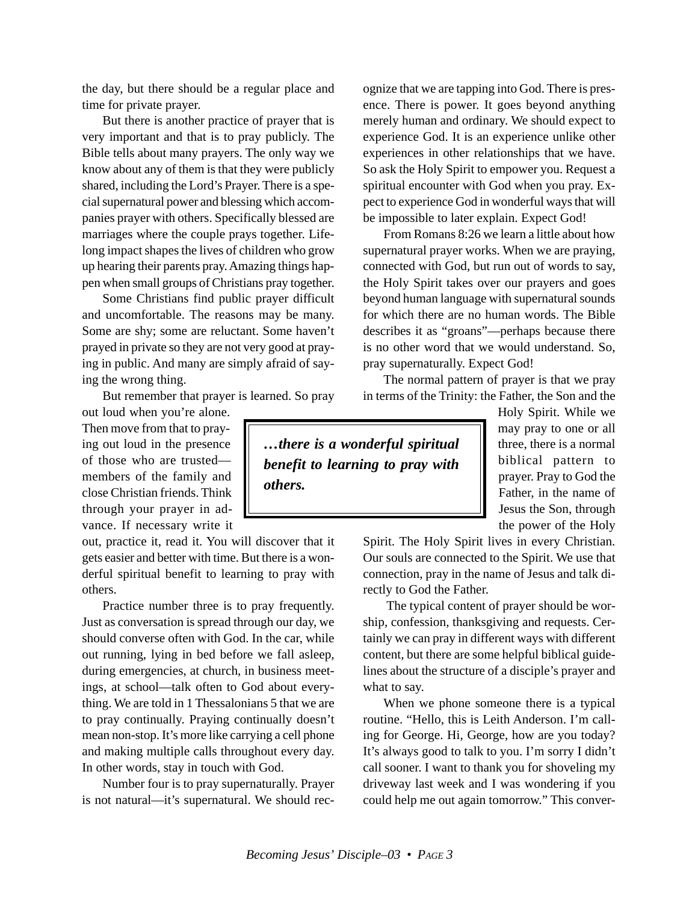the day, but there should be a regular place and time for private prayer.

But there is another practice of prayer that is very important and that is to pray publicly. The Bible tells about many prayers. The only way we know about any of them is that they were publicly shared, including the Lord's Prayer. There is a special supernatural power and blessing which accompanies prayer with others. Specifically blessed are marriages where the couple prays together. Lifelong impact shapes the lives of children who grow up hearing their parents pray. Amazing things happen when small groups of Christians pray together.

Some Christians find public prayer difficult and uncomfortable. The reasons may be many. Some are shy; some are reluctant. Some haven't prayed in private so they are not very good at praying in public. And many are simply afraid of saying the wrong thing.

But remember that prayer is learned. So pray

out loud when you're alone. Then move from that to praying out loud in the presence of those who are trusted members of the family and close Christian friends. Think through your prayer in advance. If necessary write it

out, practice it, read it. You will discover that it gets easier and better with time. But there is a wonderful spiritual benefit to learning to pray with others.

Practice number three is to pray frequently. Just as conversation is spread through our day, we should converse often with God. In the car, while out running, lying in bed before we fall asleep, during emergencies, at church, in business meetings, at school—talk often to God about everything. We are told in 1 Thessalonians 5 that we are to pray continually. Praying continually doesn't mean non-stop. It's more like carrying a cell phone and making multiple calls throughout every day. In other words, stay in touch with God.

Number four is to pray supernaturally. Prayer is not natural—it's supernatural. We should recognize that we are tapping into God. There is presence. There is power. It goes beyond anything merely human and ordinary. We should expect to experience God. It is an experience unlike other experiences in other relationships that we have. So ask the Holy Spirit to empower you. Request a spiritual encounter with God when you pray. Expect to experience God in wonderful ways that will be impossible to later explain. Expect God!

From Romans 8:26 we learn a little about how supernatural prayer works. When we are praying, connected with God, but run out of words to say, the Holy Spirit takes over our prayers and goes beyond human language with supernatural sounds for which there are no human words. The Bible describes it as "groans"—perhaps because there is no other word that we would understand. So, pray supernaturally. Expect God!

The normal pattern of prayer is that we pray in terms of the Trinity: the Father, the Son and the

*…there is a wonderful spiritual benefit to learning to pray with others.*

Holy Spirit. While we may pray to one or all three, there is a normal biblical pattern to prayer. Pray to God the Father, in the name of Jesus the Son, through the power of the Holy

Spirit. The Holy Spirit lives in every Christian. Our souls are connected to the Spirit. We use that connection, pray in the name of Jesus and talk directly to God the Father.

 The typical content of prayer should be worship, confession, thanksgiving and requests. Certainly we can pray in different ways with different content, but there are some helpful biblical guidelines about the structure of a disciple's prayer and what to say.

When we phone someone there is a typical routine. "Hello, this is Leith Anderson. I'm calling for George. Hi, George, how are you today? It's always good to talk to you. I'm sorry I didn't call sooner. I want to thank you for shoveling my driveway last week and I was wondering if you could help me out again tomorrow." This conver